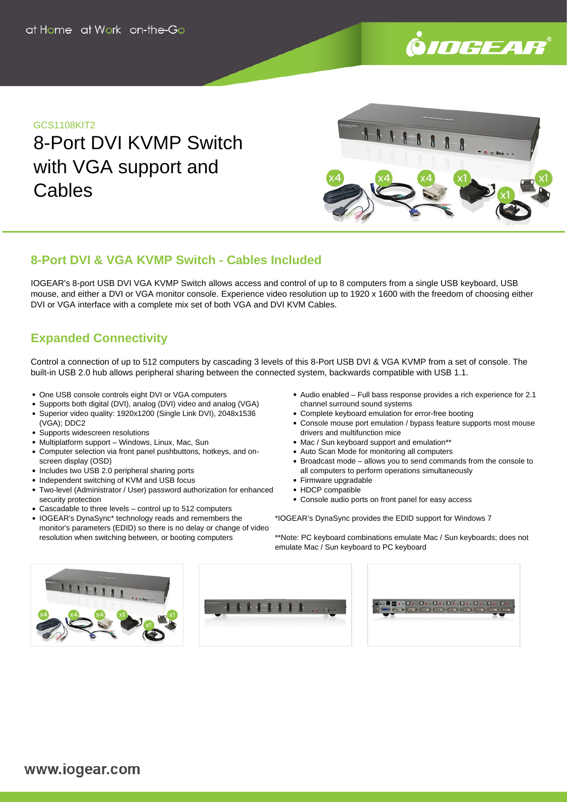

### GCS1108KIT2

8-Port DVI KVMP Switch with VGA support and **Cables** 



## **8-Port DVI & VGA KVMP Switch - Cables Included**

IOGEAR's 8-port USB DVI VGA KVMP Switch allows access and control of up to 8 computers from a single USB keyboard, USB mouse, and either a DVI or VGA monitor console. Experience video resolution up to 1920 x 1600 with the freedom of choosing either DVI or VGA interface with a complete mix set of both VGA and DVI KVM Cables.

# **Expanded Connectivity**

Control a connection of up to 512 computers by cascading 3 levels of this 8-Port USB DVI & VGA KVMP from a set of console. The built-in USB 2.0 hub allows peripheral sharing between the connected system, backwards compatible with USB 1.1.

- One USB console controls eight DVI or VGA computers
- Supports both digital (DVI), analog (DVI) video and analog (VGA)
- Superior video quality: 1920x1200 (Single Link DVI), 2048x1536 (VGA); DDC2
- Supports widescreen resolutions
- Multiplatform support Windows, Linux, Mac, Sun
- Computer selection via front panel pushbuttons, hotkeys, and onscreen display (OSD)
- Includes two USB 2.0 peripheral sharing ports
- Independent switching of KVM and USB focus
- Two-level (Administrator / User) password authorization for enhanced security protection
- Cascadable to three levels control up to 512 computers
- IOGEAR's DynaSync\* technology reads and remembers the monitor's parameters (EDID) so there is no delay or change of video resolution when switching between, or booting computers
- Audio enabled Full bass response provides a rich experience for 2.1 channel surround sound systems
- Complete keyboard emulation for error-free booting
- Console mouse port emulation / bypass feature supports most mouse drivers and multifunction mice
- Mac / Sun keyboard support and emulation\*\*
- Auto Scan Mode for monitoring all computers
- Broadcast mode allows you to send commands from the console to all computers to perform operations simultaneously
- Firmware upgradable
- HDCP compatible
- Console audio ports on front panel for easy access

\*IOGEAR's DynaSync provides the EDID support for Windows 7

\*\*Note: PC keyboard combinations emulate Mac / Sun keyboards; does not emulate Mac / Sun keyboard to PC keyboard





|  | ▅▐▌▇▗▖▊▗▗▐▌▖▖▊▖▖▊▘▞▊▝▖▙▗▖▊▗▗▊ <sub>▝</sub> ▖ |  |  |
|--|----------------------------------------------|--|--|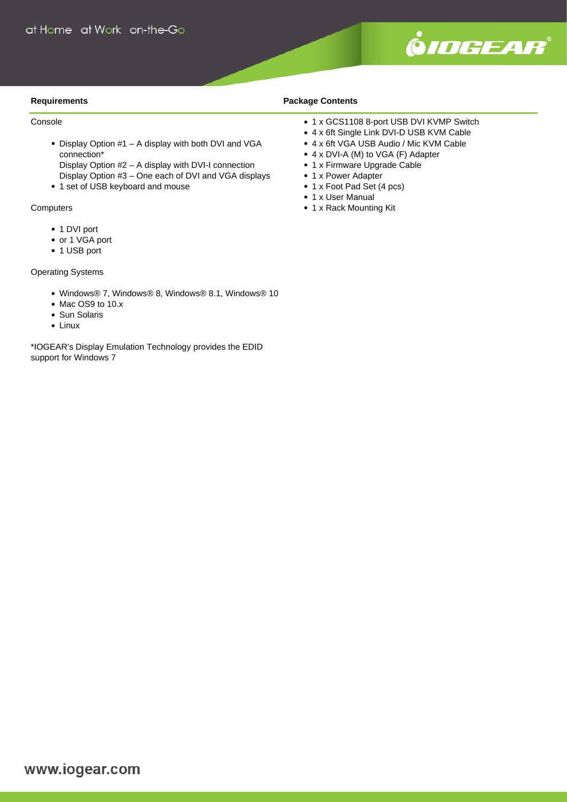

#### **Requirements**

#### Console

 $\bullet$  Display Option #1 – A display with both DVI and VGA connection\*

Display Option #2 – A display with DVI-I connection Display Option #3 – One each of DVI and VGA displays

• 1 set of USB keyboard and mouse

#### **Computers**

- 1 DVI port
- or 1 VGA port
- 1 USB port

#### Operating Systems

- Windows® 7, Windows® 8, Windows® 8.1, Windows® 10
- Mac OS9 to 10.x
- Sun Solaris
- Linux

\*IOGEAR's Display Emulation Technology provides the EDID support for Windows 7

#### **Package Contents**

- 1 x GCS1108 8-port USB DVI KVMP Switch
- 4 x 6ft Single Link DVI-D USB KVM Cable
- 4 x 6ft VGA USB Audio / Mic KVM Cable
- 4 x DVI-A (M) to VGA (F) Adapter
- 1 x Firmware Upgrade Cable
- 1 x Power Adapter
- 1 x Foot Pad Set (4 pcs)
- 1 x User Manual
- 1 x Rack Mounting Kit